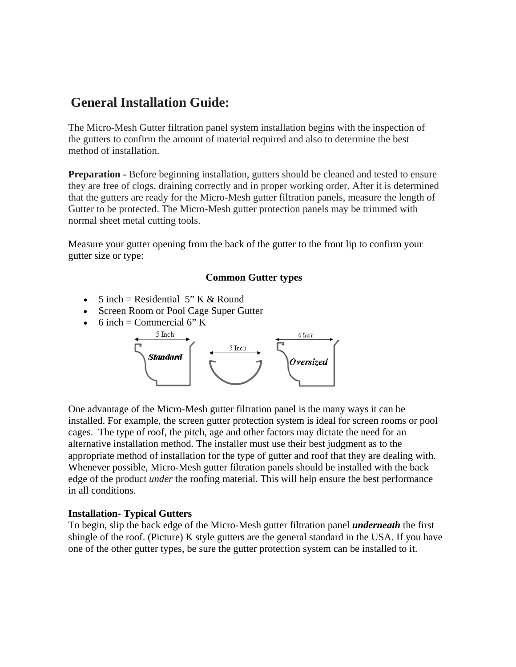# **General Installation Guide:**

The Micro-Mesh Gutter filtration panel system installation begins with the inspection of the gutters to confirm the amount of material required and also to determine the best method of installation.

**Preparation -** Before beginning installation, gutters should be cleaned and tested to ensure they are free of clogs, draining correctly and in proper working order. After it is determined that the gutters are ready for the Micro-Mesh gutter filtration panels, measure the length of Gutter to be protected. The Micro-Mesh gutter protection panels may be trimmed with normal sheet metal cutting tools.

Measure your gutter opening from the back of the gutter to the front lip to confirm your gutter size or type:

#### **Common Gutter types**

- 5 inch = Residential 5" K & Round
- Screen Room or Pool Cage Super Gutter
- 6 inch = Commercial 6" K



One advantage of the Micro-Mesh gutter filtration panel is the many ways it can be installed. For example, the screen gutter protection system is ideal for screen rooms or pool cages. The type of roof, the pitch, age and other factors may dictate the need for an alternative installation method. The installer must use their best judgment as to the appropriate method of installation for the type of gutter and roof that they are dealing with. Whenever possible, Micro-Mesh gutter filtration panels should be installed with the back edge of the product *under* the roofing material. This will help ensure the best performance in all conditions.

#### **Installation- Typical Gutters**

To begin, slip the back edge of the Micro-Mesh gutter filtration panel *underneath* the first shingle of the roof. (Picture) K style gutters are the general standard in the USA. If you have one of the other gutter types, be sure the gutter protection system can be installed to it.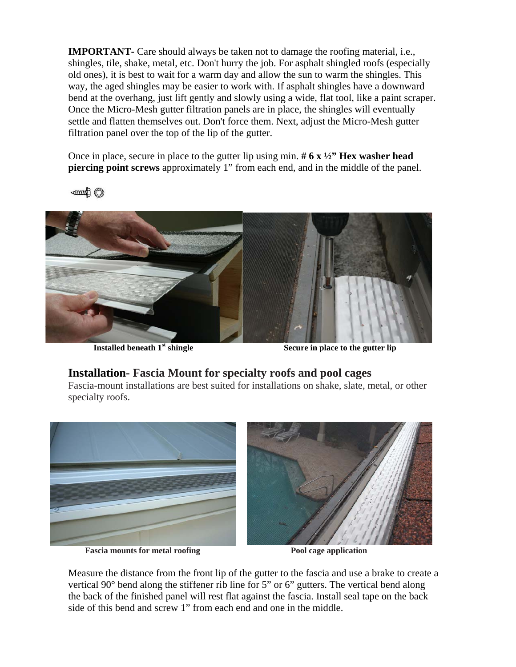**IMPORTANT-** Care should always be taken not to damage the roofing material, i.e., shingles, tile, shake, metal, etc. Don't hurry the job. For asphalt shingled roofs (especially old ones), it is best to wait for a warm day and allow the sun to warm the shingles. This way, the aged shingles may be easier to work with. If asphalt shingles have a downward bend at the overhang, just lift gently and slowly using a wide, flat tool, like a paint scraper. Once the Micro-Mesh gutter filtration panels are in place, the shingles will eventually settle and flatten themselves out. Don't force them. Next, adjust the Micro-Mesh gutter filtration panel over the top of the lip of the gutter.

Once in place, secure in place to the gutter lip using min. **# 6 x ½" Hex washer head piercing point screws** approximately 1" from each end, and in the middle of the panel.

**Of Hump** 



**Installed beneath 1<sup>st</sup> shingle Secure in place to the gutter lip** 

### **Installation- Fascia Mount for specialty roofs and pool cages**

Fascia-mount installations are best suited for installations on shake, slate, metal, or other specialty roofs.



Fascia mounts for metal roofing **Pool cage application** Pool cage application

Measure the distance from the front lip of the gutter to the fascia and use a brake to create a vertical 90° bend along the stiffener rib line for 5" or 6" gutters. The vertical bend along the back of the finished panel will rest flat against the fascia. Install seal tape on the back side of this bend and screw 1" from each end and one in the middle.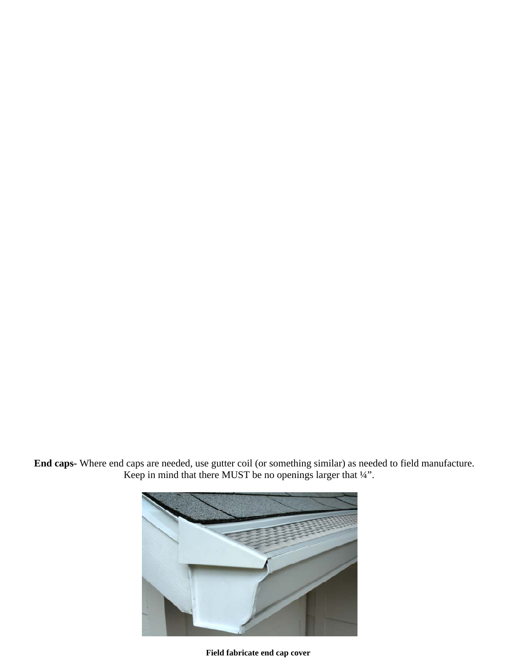**End caps-** Where end caps are needed, use gutter coil (or something similar) as needed to field manufacture. Keep in mind that there MUST be no openings larger that  $\frac{1}{4}$ ".



 **Field fabricate end cap cover**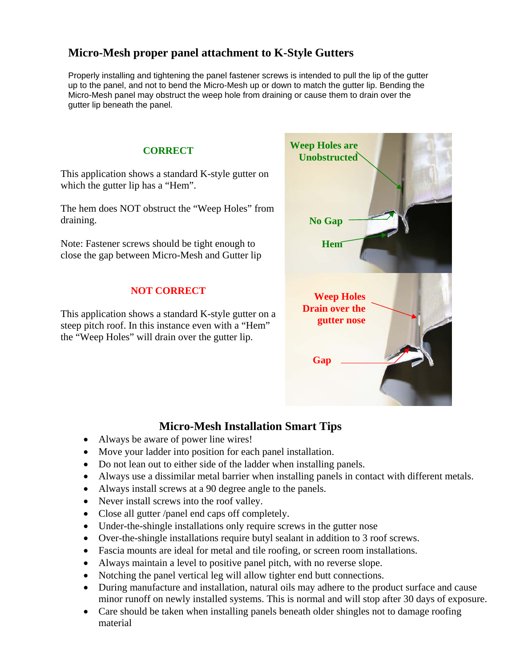## **Micro-Mesh proper panel attachment to K-Style Gutters**

Properly installing and tightening the panel fastener screws is intended to pull the lip of the gutter up to the panel, and not to bend the Micro-Mesh up or down to match the gutter lip. Bending the Micro-Mesh panel may obstruct the weep hole from draining or cause them to drain over the gutter lip beneath the panel.



## **Micro-Mesh Installation Smart Tips**

- Always be aware of power line wires!
- Move your ladder into position for each panel installation.
- Do not lean out to either side of the ladder when installing panels.
- Always use a dissimilar metal barrier when installing panels in contact with different metals.
- Always install screws at a 90 degree angle to the panels.
- Never install screws into the roof valley.
- Close all gutter /panel end caps off completely.
- Under-the-shingle installations only require screws in the gutter nose
- Over-the-shingle installations require butyl sealant in addition to 3 roof screws.
- Fascia mounts are ideal for metal and tile roofing, or screen room installations.
- Always maintain a level to positive panel pitch, with no reverse slope.
- Notching the panel vertical leg will allow tighter end butt connections.
- During manufacture and installation, natural oils may adhere to the product surface and cause minor runoff on newly installed systems. This is normal and will stop after 30 days of exposure.
- Care should be taken when installing panels beneath older shingles not to damage roofing material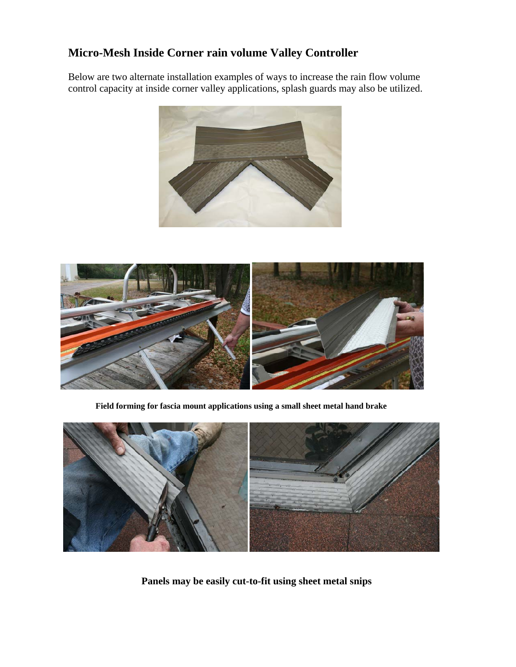### **Micro-Mesh Inside Corner rain volume Valley Controller**

Below are two alternate installation examples of ways to increase the rain flow volume control capacity at inside corner valley applications, splash guards may also be utilized.





 **Field forming for fascia mount applications using a small sheet metal hand brake**



 **Panels may be easily cut-to-fit using sheet metal snips**